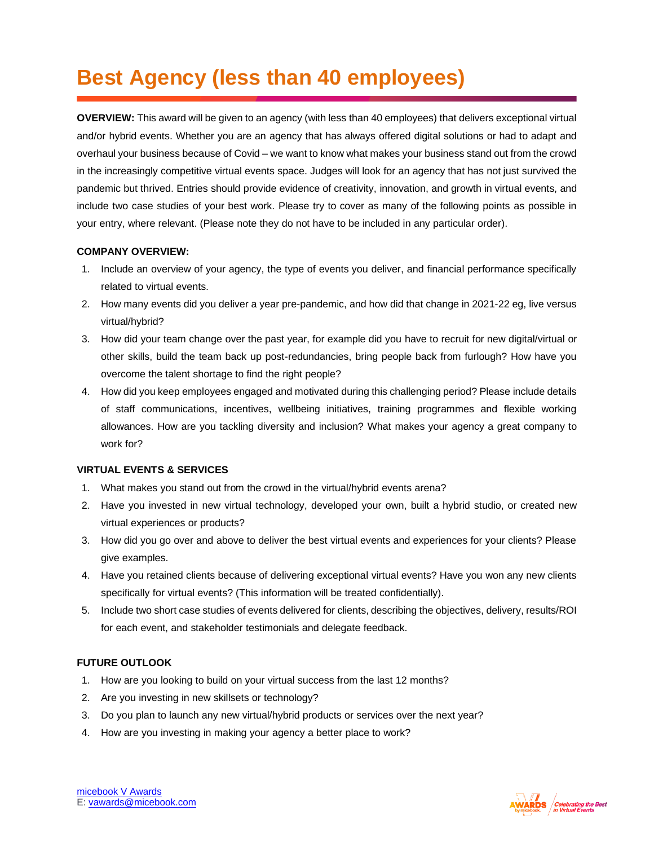## **Best Agency (less than 40 employees)**

**OVERVIEW:** This award will be given to an agency (with less than 40 employees) that delivers exceptional virtual and/or hybrid events. Whether you are an agency that has always offered digital solutions or had to adapt and overhaul your business because of Covid – we want to know what makes your business stand out from the crowd in the increasingly competitive virtual events space. Judges will look for an agency that has not just survived the pandemic but thrived. Entries should provide evidence of creativity, innovation, and growth in virtual events, and include two case studies of your best work. Please try to cover as many of the following points as possible in your entry, where relevant. (Please note they do not have to be included in any particular order).

## **COMPANY OVERVIEW:**

- 1. Include an overview of your agency, the type of events you deliver, and financial performance specifically related to virtual events.
- 2. How many events did you deliver a year pre-pandemic, and how did that change in 2021-22 eg, live versus virtual/hybrid?
- 3. How did your team change over the past year, for example did you have to recruit for new digital/virtual or other skills, build the team back up post-redundancies, bring people back from furlough? How have you overcome the talent shortage to find the right people?
- 4. How did you keep employees engaged and motivated during this challenging period? Please include details of staff communications, incentives, wellbeing initiatives, training programmes and flexible working allowances. How are you tackling diversity and inclusion? What makes your agency a great company to work for?

## **VIRTUAL EVENTS & SERVICES**

- 1. What makes you stand out from the crowd in the virtual/hybrid events arena?
- 2. Have you invested in new virtual technology, developed your own, built a hybrid studio, or created new virtual experiences or products?
- 3. How did you go over and above to deliver the best virtual events and experiences for your clients? Please give examples.
- 4. Have you retained clients because of delivering exceptional virtual events? Have you won any new clients specifically for virtual events? (This information will be treated confidentially).
- 5. Include two short case studies of events delivered for clients, describing the objectives, delivery, results/ROI for each event, and stakeholder testimonials and delegate feedback.

## **FUTURE OUTLOOK**

- 1. How are you looking to build on your virtual success from the last 12 months?
- 2. Are you investing in new skillsets or technology?
- 3. Do you plan to launch any new virtual/hybrid products or services over the next year?
- 4. How are you investing in making your agency a better place to work?